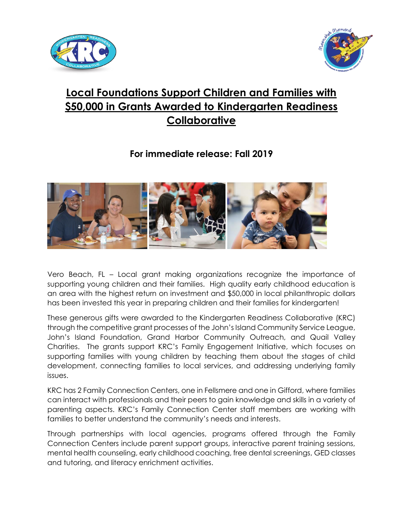



## **Local Foundations Support Children and Families with \$50,000 in Grants Awarded to Kindergarten Readiness Collaborative**

**For immediate release: Fall 2019**



Vero Beach, FL – Local grant making organizations recognize the importance of supporting young children and their families. High quality early childhood education is an area with the highest return on investment and \$50,000 in local philanthropic dollars has been invested this year in preparing children and their families for kindergarten!

These generous gifts were awarded to the Kindergarten Readiness Collaborative (KRC) through the competitive grant processes of the John's Island Community Service League, John's Island Foundation, Grand Harbor Community Outreach, and Quail Valley Charities. The grants support KRC's Family Engagement Initiative, which focuses on supporting families with young children by teaching them about the stages of child development, connecting families to local services, and addressing underlying family issues.

KRC has 2 Family Connection Centers, one in Fellsmere and one in Gifford, where families can interact with professionals and their peers to gain knowledge and skills in a variety of parenting aspects. KRC's Family Connection Center staff members are working with families to better understand the community's needs and interests.

Through partnerships with local agencies, programs offered through the Family Connection Centers include parent support groups, interactive parent training sessions, mental health counseling, early childhood coaching, free dental screenings, GED classes and tutoring, and literacy enrichment activities.